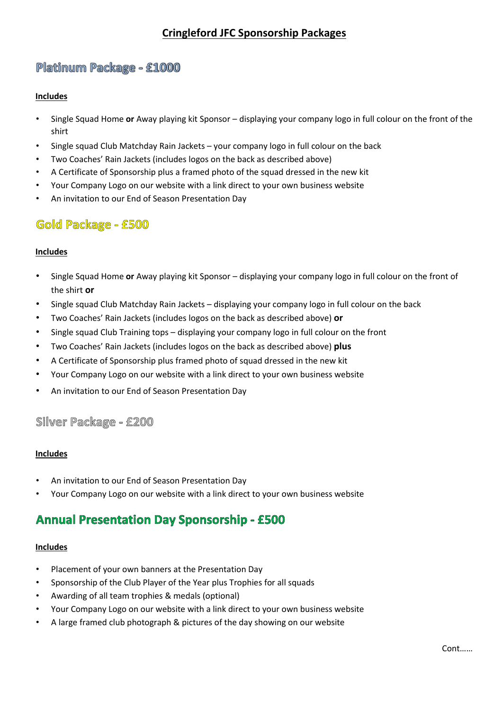# **Cringleford JFC Sponsorship Packages**

# Platinum Package - £1000

### **Includes**

- Single Squad Home **or** Away playing kit Sponsor displaying your company logo in full colour on the front of the shirt
- Single squad Club Matchday Rain Jackets your company logo in full colour on the back
- Two Coaches' Rain Jackets (includes logos on the back as described above)
- A Certificate of Sponsorship plus a framed photo of the squad dressed in the new kit
- Your Company Logo on our website with a link direct to your own business website
- An invitation to our End of Season Presentation Day

# Gold Package - £500

### **Includes**

- Single Squad Home **or** Away playing kit Sponsor displaying your company logo in full colour on the front of the shirt **or**
- Single squad Club Matchday Rain Jackets displaying your company logo in full colour on the back
- Two Coaches' Rain Jackets (includes logos on the back as described above) **or**
- Single squad Club Training tops displaying your company logo in full colour on the front
- Two Coaches' Rain Jackets (includes logos on the back as described above) **plus**
- A Certificate of Sponsorship plus framed photo of squad dressed in the new kit
- Your Company Logo on our website with a link direct to your own business website
- An invitation to our End of Season Presentation Day

### Silver Package - £200

### **Includes**

- An invitation to our End of Season Presentation Day
- Your Company Logo on our website with a link direct to your own business website

# **Annual Presentation Day Sponsorship - £500**

### **Includes**

- Placement of your own banners at the Presentation Day
- Sponsorship of the Club Player of the Year plus Trophies for all squads
- Awarding of all team trophies & medals (optional)
- Your Company Logo on our website with a link direct to your own business website
- A large framed club photograph & pictures of the day showing on our website